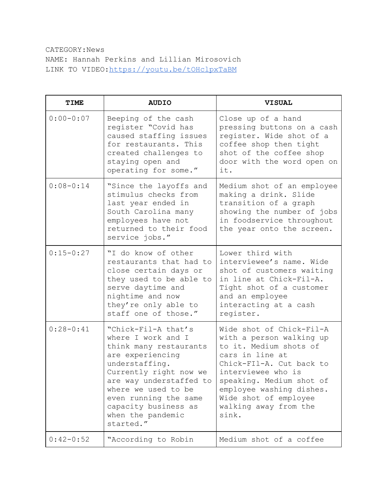CATEGORY:News NAME: Hannah Perkins and Lillian Mirosovich LINK TO VIDEO[:https://youtu.be/tOHclpxTaBM](https://youtu.be/tOHclpxTaBM)

| <b>TIME</b>   | <b>AUDIO</b>                                                                                                                                                                                                                                                             | <b>VISUAL</b>                                                                                                                                                                                                                                                          |
|---------------|--------------------------------------------------------------------------------------------------------------------------------------------------------------------------------------------------------------------------------------------------------------------------|------------------------------------------------------------------------------------------------------------------------------------------------------------------------------------------------------------------------------------------------------------------------|
| $0:00 - 0:07$ | Beeping of the cash<br>register "Covid has<br>caused staffing issues<br>for restaurants. This<br>created challenges to<br>staying open and<br>operating for some."                                                                                                       | Close up of a hand<br>pressing buttons on a cash<br>register. Wide shot of a<br>coffee shop then tight<br>shot of the coffee shop<br>door with the word open on<br>it.                                                                                                 |
| $0:08 - 0:14$ | "Since the layoffs and<br>stimulus checks from<br>last year ended in<br>South Carolina many<br>employees have not<br>returned to their food<br>service jobs."                                                                                                            | Medium shot of an employee<br>making a drink. Slide<br>transition of a graph<br>showing the number of jobs<br>in foodservice throughout<br>the year onto the screen.                                                                                                   |
| $0:15 - 0:27$ | "I do know of other<br>restaurants that had to<br>close certain days or<br>they used to be able to<br>serve daytime and<br>nightime and now<br>they're only able to<br>staff one of those."                                                                              | Lower third with<br>interviewee's name. Wide<br>shot of customers waiting<br>in line at Chick-Fil-A.<br>Tight shot of a customer<br>and an employee<br>interacting at a cash<br>register.                                                                              |
| $0:28 - 0:41$ | "Chick-Fil-A that's<br>where I work and I<br>think many restaurants<br>are experiencing<br>understaffing.<br>Currently right now we<br>are way understaffed to<br>where we used to be<br>even running the same<br>capacity business as<br>when the pandemic<br>started." | Wide shot of Chick-Fil-A<br>with a person walking up<br>to it. Medium shots of<br>cars in line at<br>Chick-FIl-A. Cut back to<br>interviewee who is<br>speaking. Medium shot of<br>employee washing dishes.<br>Wide shot of employee<br>walking away from the<br>sink. |
| $0:42-0:52$   | "According to Robin                                                                                                                                                                                                                                                      | Medium shot of a coffee                                                                                                                                                                                                                                                |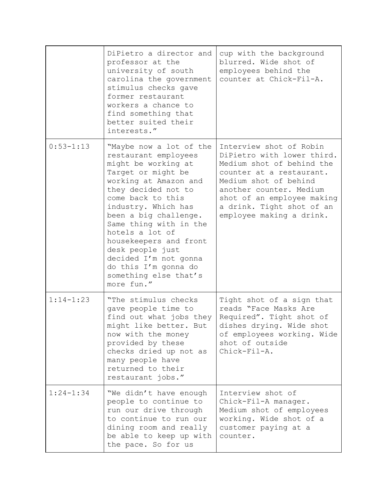|               | DiPietro a director and<br>professor at the<br>university of south<br>carolina the government<br>stimulus checks gave<br>former restaurant<br>workers a chance to<br>find something that<br>better suited their<br>interests."                                                                                                                                                                       | cup with the background<br>blurred. Wide shot of<br>employees behind the<br>counter at Chick-Fil-A.                                                                                                                                                       |
|---------------|------------------------------------------------------------------------------------------------------------------------------------------------------------------------------------------------------------------------------------------------------------------------------------------------------------------------------------------------------------------------------------------------------|-----------------------------------------------------------------------------------------------------------------------------------------------------------------------------------------------------------------------------------------------------------|
| $0:53 - 1:13$ | "Maybe now a lot of the<br>restaurant employees<br>might be working at<br>Target or might be<br>working at Amazon and<br>they decided not to<br>come back to this<br>industry. Which has<br>been a big challenge.<br>Same thing with in the<br>hotels a lot of<br>housekeepers and front<br>desk people just<br>decided I'm not gonna<br>do this I'm gonna do<br>something else that's<br>more fun." | Interview shot of Robin<br>DiPietro with lower third.<br>Medium shot of behind the<br>counter at a restaurant.<br>Medium shot of behind<br>another counter. Medium<br>shot of an employee making<br>a drink. Tight shot of an<br>employee making a drink. |
| $1:14-1:23$   | "The stimulus checks"<br>gave people time to<br>find out what jobs they<br>might like better. But<br>now with the money<br>provided by these<br>checks dried up not as<br>many people have<br>returned to their<br>restaurant jobs."                                                                                                                                                                 | Tight shot of a sign that<br>reads "Face Masks Are<br>Required". Tight shot of<br>dishes drying. Wide shot<br>of employees working. Wide<br>shot of outside<br>Chick-Fil-A.                                                                               |
| $1:24-1:34$   | "We didn't have enough<br>people to continue to<br>run our drive through<br>to continue to run our<br>dining room and really<br>be able to keep up with<br>the pace. So for us                                                                                                                                                                                                                       | Interview shot of<br>Chick-Fil-A manager.<br>Medium shot of employees<br>working. Wide shot of a<br>customer paying at a<br>counter.                                                                                                                      |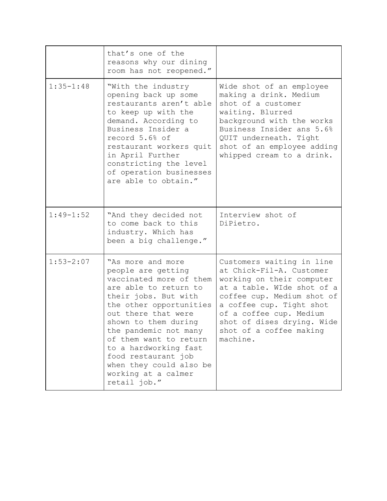|               | that's one of the<br>reasons why our dining<br>room has not reopened."                                                                                                                                                                                                                                                                                             |                                                                                                                                                                                                                                                                            |
|---------------|--------------------------------------------------------------------------------------------------------------------------------------------------------------------------------------------------------------------------------------------------------------------------------------------------------------------------------------------------------------------|----------------------------------------------------------------------------------------------------------------------------------------------------------------------------------------------------------------------------------------------------------------------------|
| $1:35 - 1:48$ | "With the industry<br>opening back up some<br>restaurants aren't able<br>to keep up with the<br>demand. According to<br>Business Insider a<br>record 5.6% of<br>restaurant workers quit<br>in April Further<br>constricting the level<br>of operation businesses<br>are able to obtain."                                                                           | Wide shot of an employee<br>making a drink. Medium<br>shot of a customer<br>waiting. Blurred<br>background with the works<br>Business Insider ans 5.6%<br>QUIT underneath. Tight<br>shot of an employee adding<br>whipped cream to a drink.                                |
| $1:49 - 1:52$ | "And they decided not<br>to come back to this<br>industry. Which has<br>been a big challenge."                                                                                                                                                                                                                                                                     | Interview shot of<br>DiPietro.                                                                                                                                                                                                                                             |
| $1:53 - 2:07$ | "As more and more<br>people are getting<br>vaccinated more of them<br>are able to return to<br>their jobs. But with<br>the other opportunities<br>out there that were<br>shown to them during<br>the pandemic not many<br>of them want to return<br>to a hardworking fast<br>food restaurant job<br>when they could also be<br>working at a calmer<br>retail job." | Customers waiting in line<br>at Chick-Fil-A. Customer<br>working on their computer<br>at a table. WIde shot of a<br>coffee cup. Medium shot of<br>a coffee cup. Tight shot<br>of a coffee cup. Medium<br>shot of dises drying. Wide<br>shot of a coffee making<br>machine. |